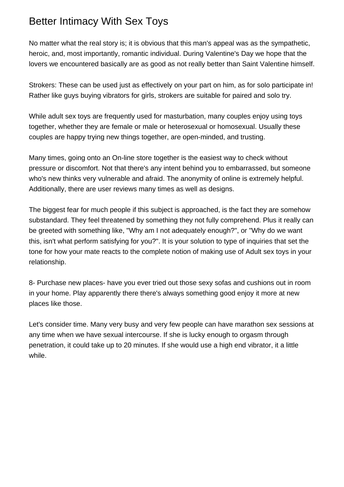## Better Intimacy With Sex Toys

No matter what the real story is; it is obvious that this man's appeal was as the sympathetic, heroic, and, most importantly, romantic individual. During Valentine's Day we hope that the lovers we encountered basically are as good as not really better than Saint Valentine himself.

Strokers: These can be used just as effectively on your part on him, as for solo participate in! Rather like guys buying vibrators for girls, strokers are suitable for paired and solo try.

While adult sex toys are frequently used for masturbation, many couples enjoy using toys together, whether they are female or male or heterosexual or homosexual. Usually these couples are happy trying new things together, are open-minded, and trusting.

Many times, going onto an On-line store together is the easiest way to check without pressure or discomfort. Not that there's any intent behind you to embarrassed, but someone who's new thinks very vulnerable and afraid. The anonymity of online is extremely helpful. Additionally, there are user reviews many times as well as designs.

The biggest fear for much people if this subject is approached, is the fact they are somehow substandard. They feel threatened by something they not fully comprehend. Plus it really can be greeted with something like, "Why am I not adequately enough?", or "Why do we want this, isn't what perform satisfying for you?". It is your solution to type of inquiries that set the tone for how your mate reacts to the complete notion of making use of Adult sex toys in your relationship.

8- Purchase new places- have you ever tried out those sexy sofas and cushions out in room in your home. Play apparently there there's always something good enjoy it more at new places like those.

Let's consider time. Many very busy and very few people can have marathon sex sessions at any time when we have sexual intercourse. If she is lucky enough to orgasm through penetration, it could take up to 20 minutes. If she would use a high end vibrator, it a little while.